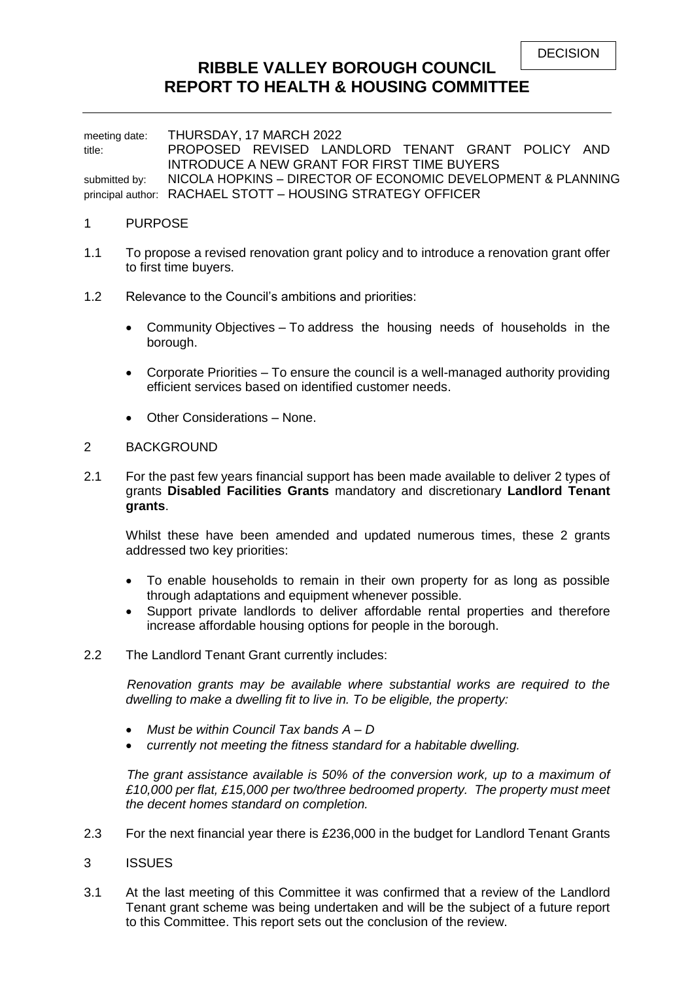# **RIBBLE VALLEY BOROUGH COUNCIL REPORT TO HEALTH & HOUSING COMMITTEE**

meeting date: THURSDAY, 17 MARCH 2022 title: PROPOSED REVISED LANDLORD TENANT GRANT POLICY AND INTRODUCE A NEW GRANT FOR FIRST TIME BUYERS submitted by: NICOLA HOPKINS - DIRECTOR OF ECONOMIC DEVELOPMENT & PLANNING principal author: RACHAEL STOTT – HOUSING STRATEGY OFFICER

#### 1 PURPOSE

- 1.1 To propose a revised renovation grant policy and to introduce a renovation grant offer to first time buyers.
- 1.2 Relevance to the Council's ambitions and priorities:
	- Community Objectives To address the housing needs of households in the borough.
	- Corporate Priorities To ensure the council is a well-managed authority providing efficient services based on identified customer needs.
	- Other Considerations None.

#### 2 BACKGROUND

2.1 For the past few years financial support has been made available to deliver 2 types of grants **Disabled Facilities Grants** mandatory and discretionary **Landlord Tenant grants**.

Whilst these have been amended and updated numerous times, these 2 grants addressed two key priorities:

- To enable households to remain in their own property for as long as possible through adaptations and equipment whenever possible.
- Support private landlords to deliver affordable rental properties and therefore increase affordable housing options for people in the borough.
- 2.2 The Landlord Tenant Grant currently includes:

 *Renovation grants may be available where substantial works are required to the dwelling to make a dwelling fit to live in. To be eligible, the property:*

- *Must be within Council Tax bands A – D*
- *currently not meeting the fitness standard for a habitable dwelling.*

 *The grant assistance available is 50% of the conversion work, up to a maximum of £10,000 per flat, £15,000 per two/three bedroomed property. The property must meet the decent homes standard on completion.*

- 2.3 For the next financial year there is £236,000 in the budget for Landlord Tenant Grants
- 3 ISSUES
- 3.1 At the last meeting of this Committee it was confirmed that a review of the Landlord Tenant grant scheme was being undertaken and will be the subject of a future report to this Committee. This report sets out the conclusion of the review.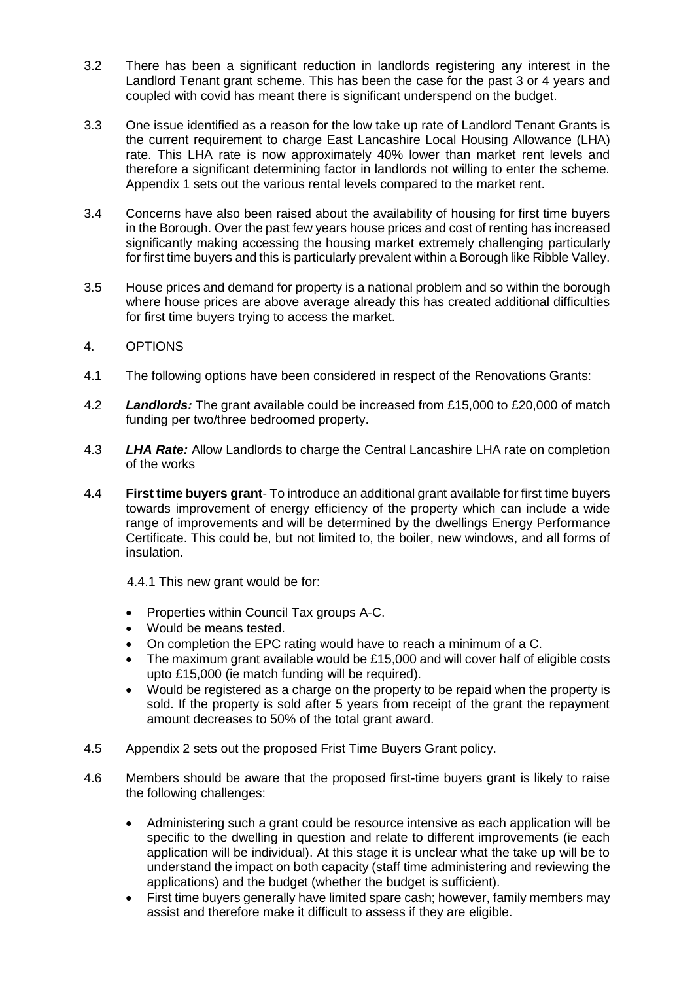- 3.2 There has been a significant reduction in landlords registering any interest in the Landlord Tenant grant scheme. This has been the case for the past 3 or 4 years and coupled with covid has meant there is significant underspend on the budget.
- 3.3 One issue identified as a reason for the low take up rate of Landlord Tenant Grants is the current requirement to charge East Lancashire Local Housing Allowance (LHA) rate. This LHA rate is now approximately 40% lower than market rent levels and therefore a significant determining factor in landlords not willing to enter the scheme. Appendix 1 sets out the various rental levels compared to the market rent.
- 3.4 Concerns have also been raised about the availability of housing for first time buyers in the Borough. Over the past few years house prices and cost of renting has increased significantly making accessing the housing market extremely challenging particularly for first time buyers and this is particularly prevalent within a Borough like Ribble Valley.
- 3.5 House prices and demand for property is a national problem and so within the borough where house prices are above average already this has created additional difficulties for first time buyers trying to access the market.
- 4. OPTIONS
- 4.1 The following options have been considered in respect of the Renovations Grants:
- 4.2 *Landlords:* The grant available could be increased from £15,000 to £20,000 of match funding per two/three bedroomed property.
- 4.3 *LHA Rate:* Allow Landlords to charge the Central Lancashire LHA rate on completion of the works
- 4.4 **First time buyers grant** To introduce an additional grant available for first time buyers towards improvement of energy efficiency of the property which can include a wide range of improvements and will be determined by the dwellings Energy Performance Certificate. This could be, but not limited to, the boiler, new windows, and all forms of insulation.

4.4.1 This new grant would be for:

- Properties within Council Tax groups A-C.
- Would be means tested.
- On completion the EPC rating would have to reach a minimum of a C.
- The maximum grant available would be £15,000 and will cover half of eligible costs upto £15,000 (ie match funding will be required).
- Would be registered as a charge on the property to be repaid when the property is sold. If the property is sold after 5 years from receipt of the grant the repayment amount decreases to 50% of the total grant award.
- 4.5 Appendix 2 sets out the proposed Frist Time Buyers Grant policy.
- 4.6 Members should be aware that the proposed first-time buyers grant is likely to raise the following challenges:
	- Administering such a grant could be resource intensive as each application will be specific to the dwelling in question and relate to different improvements (ie each application will be individual). At this stage it is unclear what the take up will be to understand the impact on both capacity (staff time administering and reviewing the applications) and the budget (whether the budget is sufficient).
	- First time buyers generally have limited spare cash; however, family members may assist and therefore make it difficult to assess if they are eligible.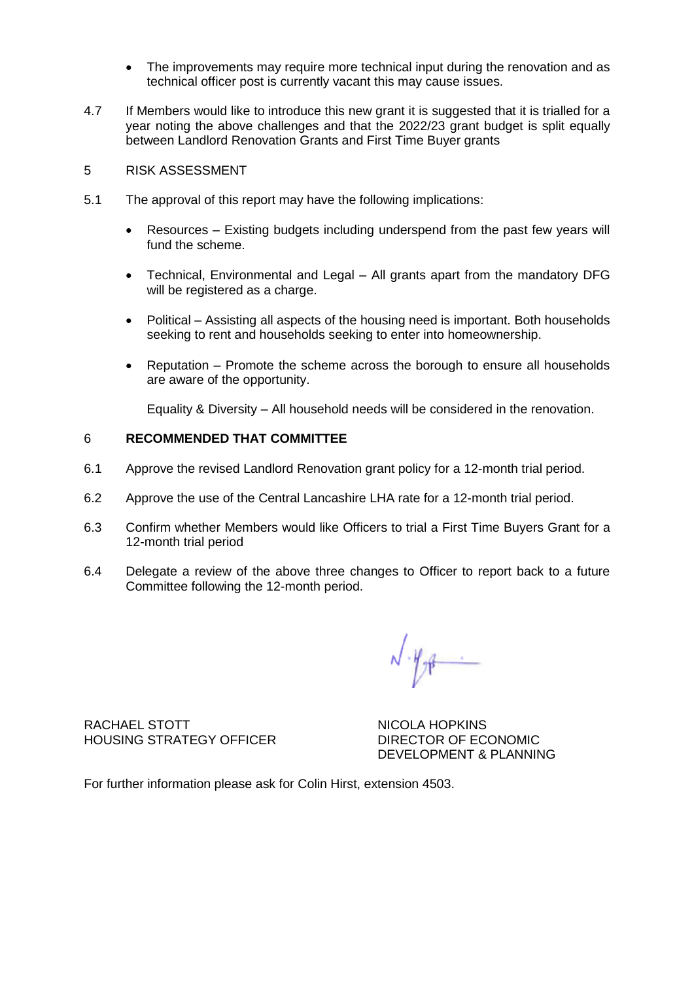- The improvements may require more technical input during the renovation and as technical officer post is currently vacant this may cause issues.
- 4.7 If Members would like to introduce this new grant it is suggested that it is trialled for a year noting the above challenges and that the 2022/23 grant budget is split equally between Landlord Renovation Grants and First Time Buyer grants
- 5 RISK ASSESSMENT
- 5.1 The approval of this report may have the following implications:
	- Resources Existing budgets including underspend from the past few years will fund the scheme.
	- Technical, Environmental and Legal All grants apart from the mandatory DFG will be registered as a charge.
	- Political Assisting all aspects of the housing need is important. Both households seeking to rent and households seeking to enter into homeownership.
	- Reputation Promote the scheme across the borough to ensure all households are aware of the opportunity.

Equality & Diversity – All household needs will be considered in the renovation.

#### 6 **RECOMMENDED THAT COMMITTEE**

- 6.1 Approve the revised Landlord Renovation grant policy for a 12-month trial period.
- 6.2 Approve the use of the Central Lancashire LHA rate for a 12-month trial period.
- 6.3 Confirm whether Members would like Officers to trial a First Time Buyers Grant for a 12-month trial period
- 6.4 Delegate a review of the above three changes to Officer to report back to a future Committee following the 12-month period.

 $N \cdot \mathcal{H}_{\mathcal{F}}$ 

RACHAEL STOTT NICOLA HOPKINS HOUSING STRATEGY OFFICER DIRECTOR OF ECONOMIC

DEVELOPMENT & PLANNING

For further information please ask for Colin Hirst, extension 4503.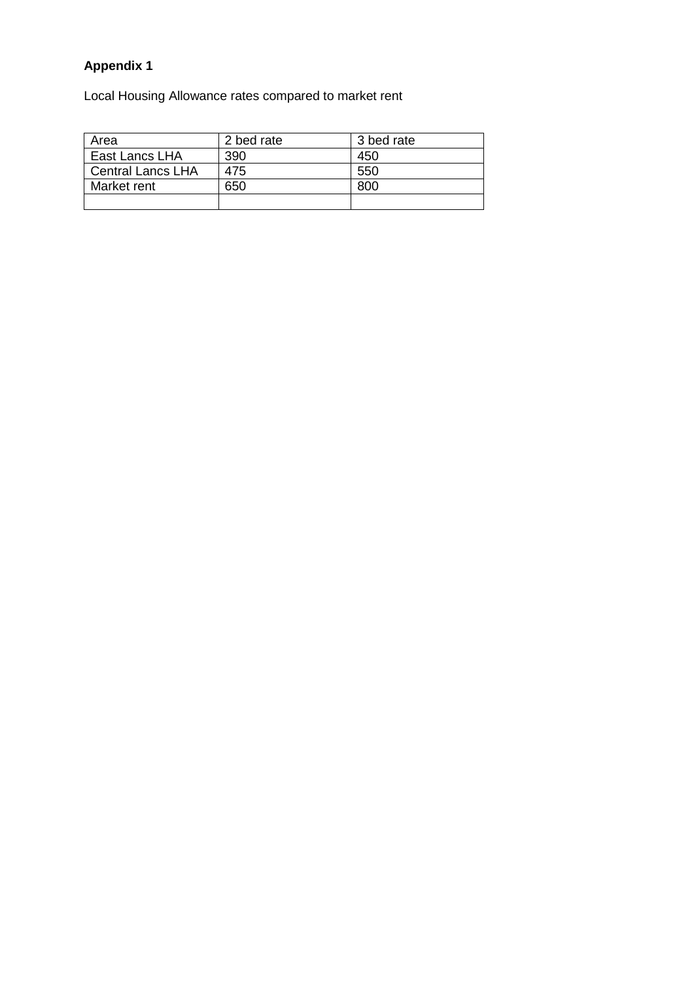# **Appendix 1**

Local Housing Allowance rates compared to market rent

| Area                     | 2 bed rate | 3 bed rate |
|--------------------------|------------|------------|
| East Lancs LHA           | 390        | 450        |
| <b>Central Lancs LHA</b> | 475        | 550        |
| Market rent              | 650        | 800        |
|                          |            |            |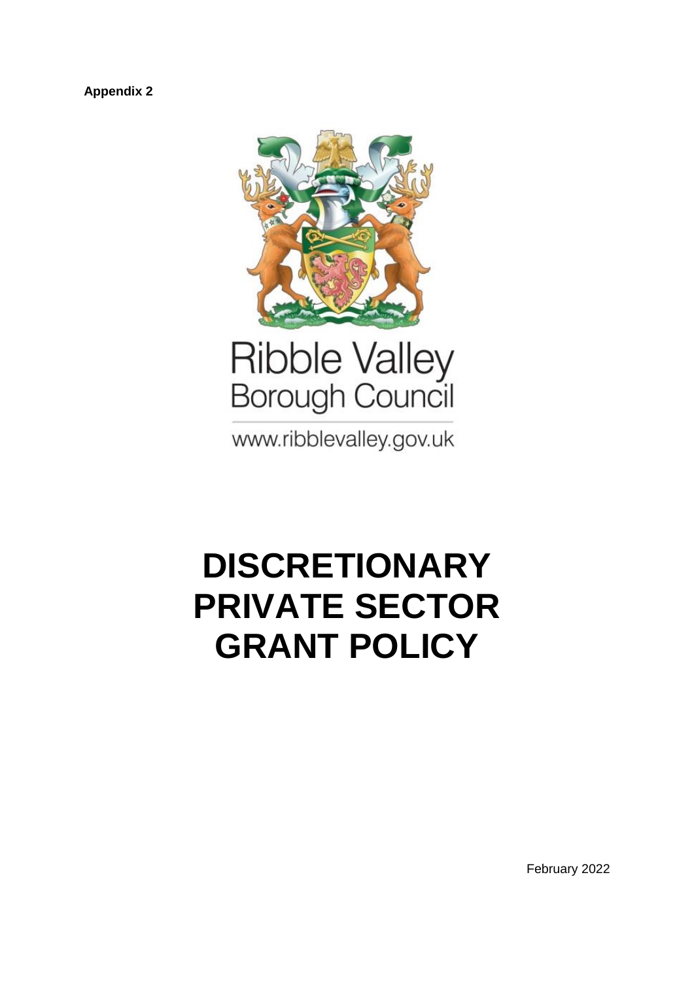**Appendix 2**



www.ribblevalley.gov.uk

# **DISCRETIONARY PRIVATE SECTOR GRANT POLICY**

February 2022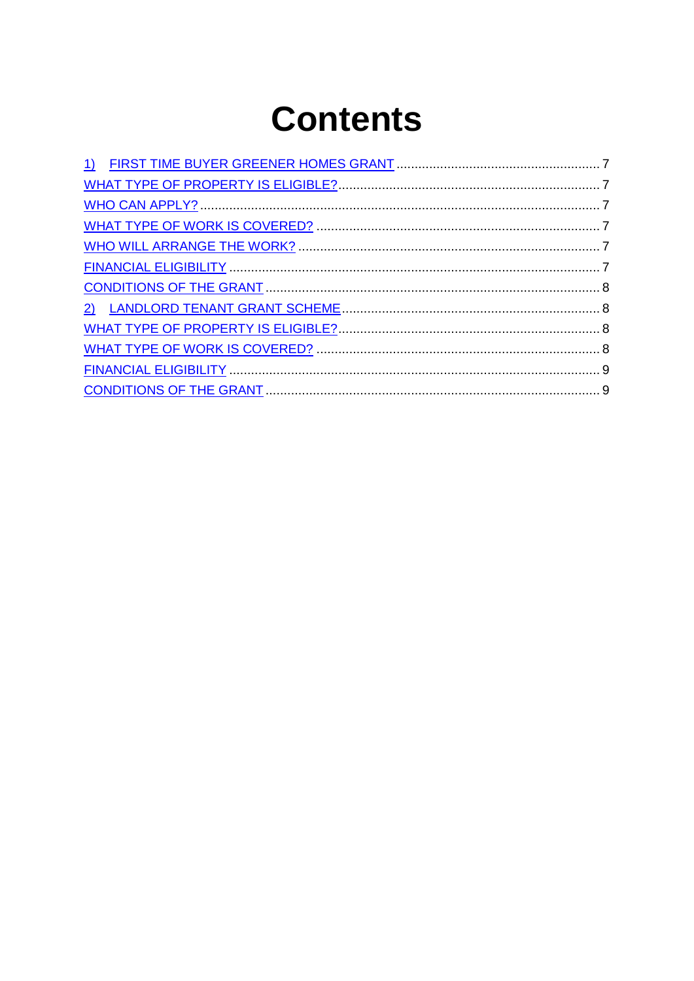# **Contents**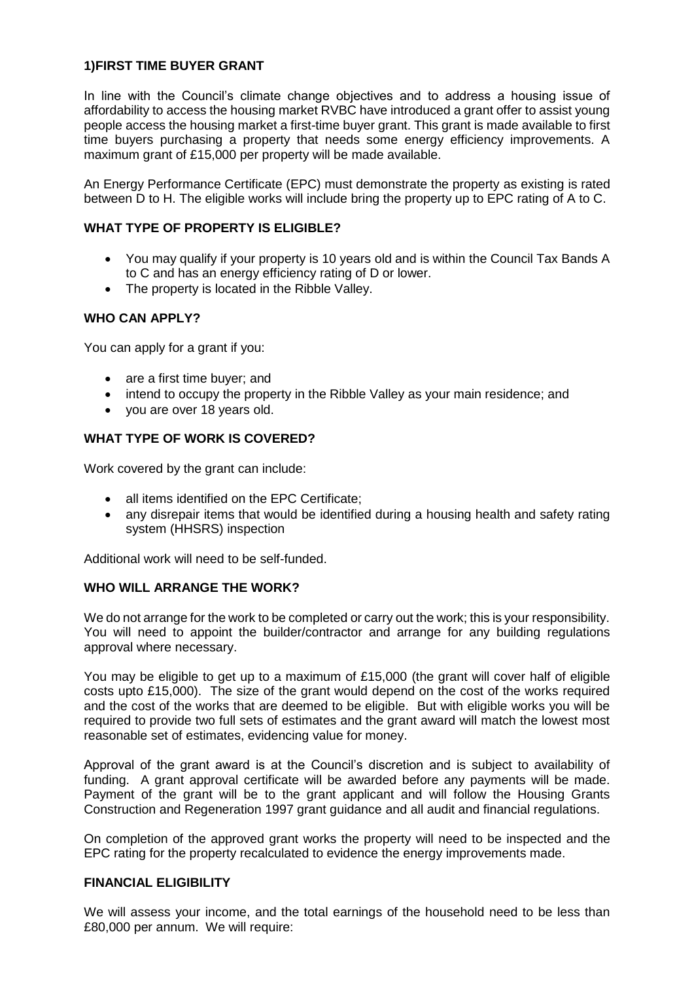# <span id="page-6-0"></span>**1)FIRST TIME BUYER GRANT**

In line with the Council's climate change objectives and to address a housing issue of affordability to access the housing market RVBC have introduced a grant offer to assist young people access the housing market a first-time buyer grant. This grant is made available to first time buyers purchasing a property that needs some energy efficiency improvements. A maximum grant of £15,000 per property will be made available.

An Energy Performance Certificate (EPC) must demonstrate the property as existing is rated between D to H. The eligible works will include bring the property up to EPC rating of A to C.

# <span id="page-6-1"></span>**WHAT TYPE OF PROPERTY IS ELIGIBLE?**

- You may qualify if your property is 10 years old and is within the Council Tax Bands A to C and has an energy efficiency rating of D or lower.
- The property is located in the Ribble Valley.

# <span id="page-6-2"></span>**WHO CAN APPLY?**

You can apply for a grant if you:

- are a first time buyer; and
- intend to occupy the property in the Ribble Valley as your main residence; and
- you are over 18 years old.

# <span id="page-6-3"></span>**WHAT TYPE OF WORK IS COVERED?**

Work covered by the grant can include:

- all items identified on the EPC Certificate;
- any disrepair items that would be identified during a housing health and safety rating system (HHSRS) inspection

Additional work will need to be self-funded.

## <span id="page-6-4"></span>**WHO WILL ARRANGE THE WORK?**

We do not arrange for the work to be completed or carry out the work; this is your responsibility. You will need to appoint the builder/contractor and arrange for any building regulations approval where necessary.

You may be eligible to get up to a maximum of £15,000 (the grant will cover half of eligible costs upto £15,000). The size of the grant would depend on the cost of the works required and the cost of the works that are deemed to be eligible. But with eligible works you will be required to provide two full sets of estimates and the grant award will match the lowest most reasonable set of estimates, evidencing value for money.

Approval of the grant award is at the Council's discretion and is subject to availability of funding. A grant approval certificate will be awarded before any payments will be made. Payment of the grant will be to the grant applicant and will follow the Housing Grants Construction and Regeneration 1997 grant guidance and all audit and financial regulations.

On completion of the approved grant works the property will need to be inspected and the EPC rating for the property recalculated to evidence the energy improvements made.

## <span id="page-6-5"></span>**FINANCIAL ELIGIBILITY**

We will assess your income, and the total earnings of the household need to be less than £80,000 per annum. We will require: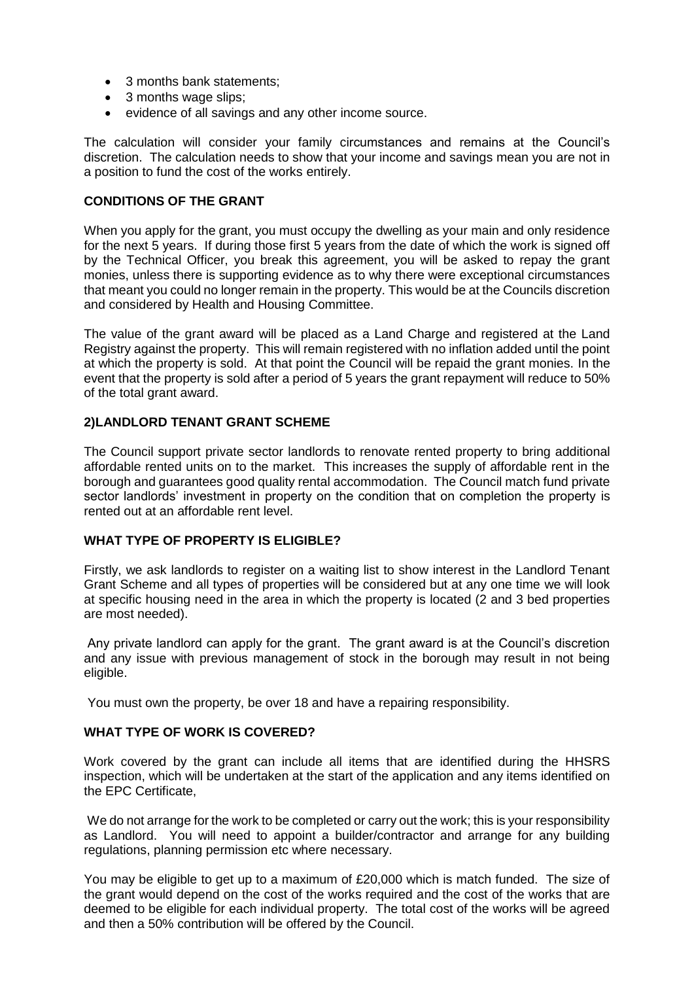- 3 months bank statements:
- 3 months wage slips;
- evidence of all savings and any other income source.

The calculation will consider your family circumstances and remains at the Council's discretion. The calculation needs to show that your income and savings mean you are not in a position to fund the cost of the works entirely.

# <span id="page-7-0"></span>**CONDITIONS OF THE GRANT**

When you apply for the grant, you must occupy the dwelling as your main and only residence for the next 5 years. If during those first 5 years from the date of which the work is signed off by the Technical Officer, you break this agreement, you will be asked to repay the grant monies, unless there is supporting evidence as to why there were exceptional circumstances that meant you could no longer remain in the property. This would be at the Councils discretion and considered by Health and Housing Committee.

The value of the grant award will be placed as a Land Charge and registered at the Land Registry against the property. This will remain registered with no inflation added until the point at which the property is sold. At that point the Council will be repaid the grant monies. In the event that the property is sold after a period of 5 years the grant repayment will reduce to 50% of the total grant award.

# <span id="page-7-1"></span>**2)LANDLORD TENANT GRANT SCHEME**

The Council support private sector landlords to renovate rented property to bring additional affordable rented units on to the market. This increases the supply of affordable rent in the borough and guarantees good quality rental accommodation. The Council match fund private sector landlords' investment in property on the condition that on completion the property is rented out at an affordable rent level.

## <span id="page-7-2"></span>**WHAT TYPE OF PROPERTY IS ELIGIBLE?**

Firstly, we ask landlords to register on a waiting list to show interest in the Landlord Tenant Grant Scheme and all types of properties will be considered but at any one time we will look at specific housing need in the area in which the property is located (2 and 3 bed properties are most needed).

Any private landlord can apply for the grant. The grant award is at the Council's discretion and any issue with previous management of stock in the borough may result in not being eligible.

You must own the property, be over 18 and have a repairing responsibility.

## <span id="page-7-3"></span>**WHAT TYPE OF WORK IS COVERED?**

Work covered by the grant can include all items that are identified during the HHSRS inspection, which will be undertaken at the start of the application and any items identified on the EPC Certificate,

We do not arrange for the work to be completed or carry out the work; this is your responsibility as Landlord. You will need to appoint a builder/contractor and arrange for any building regulations, planning permission etc where necessary.

You may be eligible to get up to a maximum of £20,000 which is match funded. The size of the grant would depend on the cost of the works required and the cost of the works that are deemed to be eligible for each individual property. The total cost of the works will be agreed and then a 50% contribution will be offered by the Council.